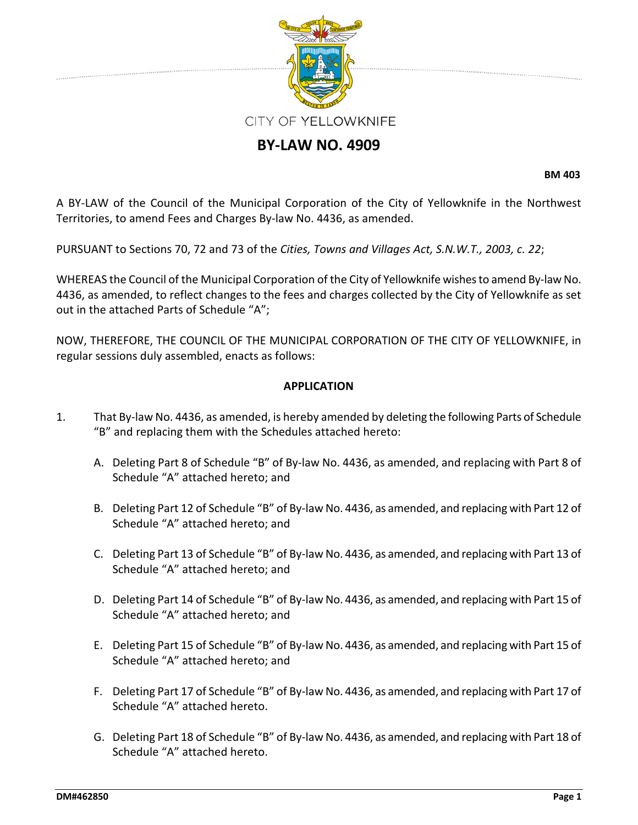

# **BY-LAW NO. 4909**

**BM 403**

A BY-LAW of the Council of the Municipal Corporation of the City of Yellowknife in the Northwest Territories, to amend Fees and Charges By-law No. 4436, as amended.

PURSUANT to Sections 70, 72 and 73 of the *Cities, Towns and Villages Act, S.N.W.T., 2003, c. 22*;

WHEREAS the Council of the Municipal Corporation of the City of Yellowknife wishes to amend By-law No. 4436, as amended, to reflect changes to the fees and charges collected by the City of Yellowknife as set out in the attached Parts of Schedule "A";

NOW, THEREFORE, THE COUNCIL OF THE MUNICIPAL CORPORATION OF THE CITY OF YELLOWKNIFE, in regular sessions duly assembled, enacts as follows:

### **APPLICATION**

- 1. That By-law No. 4436, as amended, is hereby amended by deleting the following Parts of Schedule "B" and replacing them with the Schedules attached hereto:
	- A. Deleting Part 8 of Schedule "B" of By-law No. 4436, as amended, and replacing with Part 8 of Schedule "A" attached hereto; and
	- B. Deleting Part 12 of Schedule "B" of By-law No. 4436, as amended, and replacing with Part 12 of Schedule "A" attached hereto; and
	- C. Deleting Part 13 of Schedule "B" of By-law No. 4436, as amended, and replacing with Part 13 of Schedule "A" attached hereto; and
	- D. Deleting Part 14 of Schedule "B" of By-law No. 4436, as amended, and replacing with Part 15 of Schedule "A" attached hereto; and
	- E. Deleting Part 15 of Schedule "B" of By-law No. 4436, as amended, and replacing with Part 15 of Schedule "A" attached hereto; and
	- F. Deleting Part 17 of Schedule "B" of By-law No. 4436, as amended, and replacing with Part 17 of Schedule "A" attached hereto.
	- G. Deleting Part 18 of Schedule "B" of By-law No. 4436, as amended, and replacing with Part 18 of Schedule "A" attached hereto.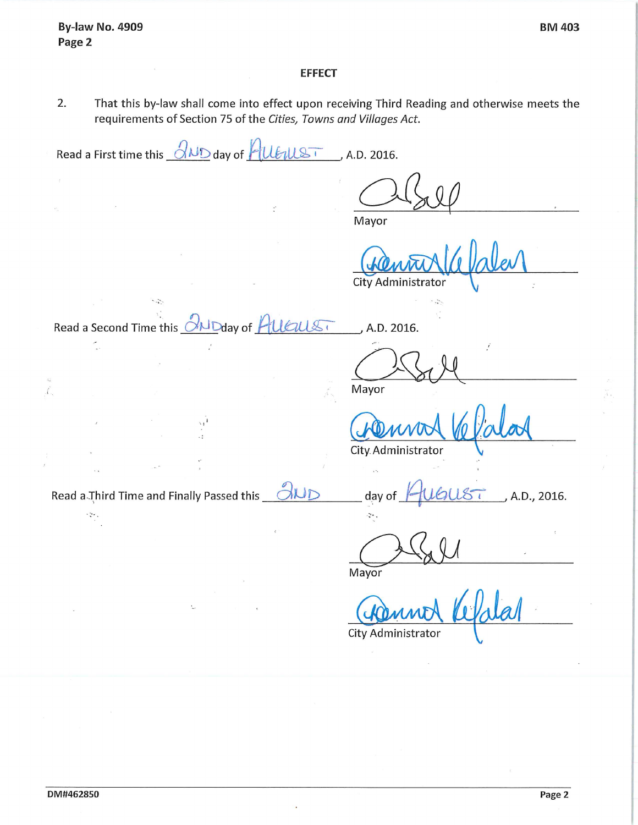#### **EFFECT**

 $2.$ That this by-law shall come into effect upon receiving Third Reading and otherwise meets the requirements of Section 75 of the Cities, Towns and Villages Act.

Read a First time this  $\partial_{MD}$  day of  $\partial_{MLST}$ , A.D. 2016.  $\widetilde{H}^{\alpha}$ Mayor **City Administrator**  $\sim$ Read a Second Time this **CALD**day of **HUGULS** A.D. 2016. Ć, Mayor ť. City Administrator Read a Third Time and Finally Passed this OND A.D., 2016. day of  $\mathbb{R}^2$ ÷. Mayor  $\epsilon$  .

City Administrator

 $\mathbb{G}$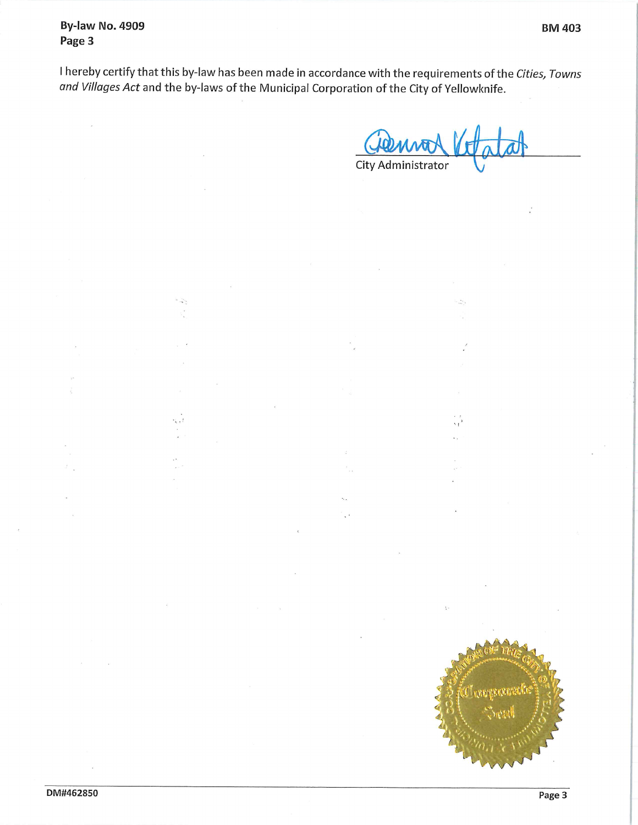**By-law No. 4909** Page 3

S.

 $\frac{1}{2}$ 

s, J

I hereby certify that this by-law has been made in accordance with the requirements of the Cities, Towns and Villages Act and the by-laws of the Municipal Corporation of the City of Yellowknife.

City Administrator

 $\mathbf{v}_t$ 

 $\frac{1}{2}$ 

 $\ddotsc$ 

**Controversite**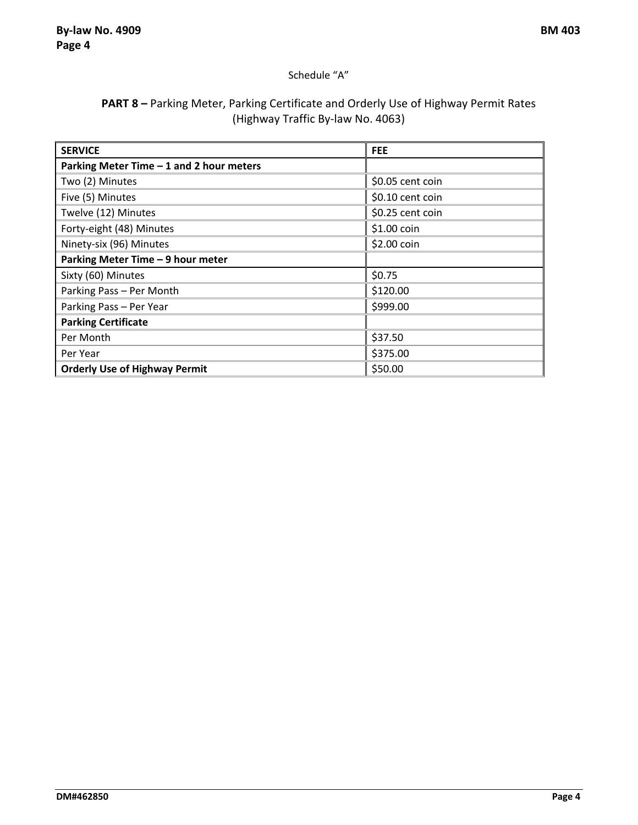### Schedule "A"

## **PART 8 –** Parking Meter, Parking Certificate and Orderly Use of Highway Permit Rates (Highway Traffic By-law No. 4063)

| <b>SERVICE</b>                           | <b>FEE</b>       |
|------------------------------------------|------------------|
| Parking Meter Time - 1 and 2 hour meters |                  |
| Two (2) Minutes                          | \$0.05 cent coin |
| Five (5) Minutes                         | \$0.10 cent coin |
| Twelve (12) Minutes                      | \$0.25 cent coin |
| Forty-eight (48) Minutes                 | \$1.00 coin      |
| Ninety-six (96) Minutes                  | \$2.00 coin      |
| Parking Meter Time - 9 hour meter        |                  |
| Sixty (60) Minutes                       | \$0.75           |
| Parking Pass - Per Month                 | \$120.00         |
| Parking Pass - Per Year                  | \$999.00         |
| <b>Parking Certificate</b>               |                  |
| Per Month                                | \$37.50          |
| Per Year                                 | \$375.00         |
| <b>Orderly Use of Highway Permit</b>     | \$50.00          |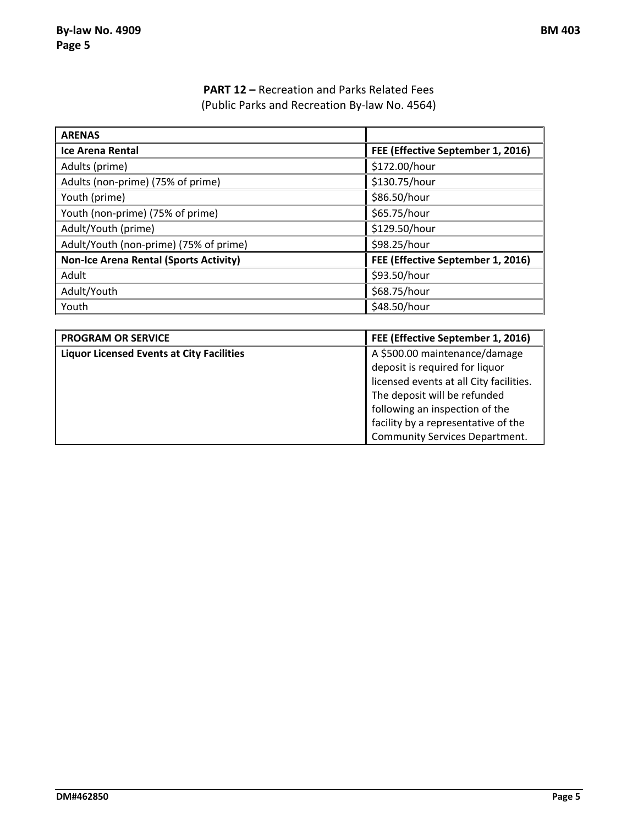## **PART 12 –** Recreation and Parks Related Fees (Public Parks and Recreation By-law No. 4564)

| <b>ARENAS</b>                                 |                                   |
|-----------------------------------------------|-----------------------------------|
| <b>Ice Arena Rental</b>                       | FEE (Effective September 1, 2016) |
| Adults (prime)                                | \$172.00/hour                     |
| Adults (non-prime) (75% of prime)             | \$130.75/hour                     |
| Youth (prime)                                 | \$86.50/hour                      |
| Youth (non-prime) (75% of prime)              | \$65.75/hour                      |
| Adult/Youth (prime)                           | \$129.50/hour                     |
| Adult/Youth (non-prime) (75% of prime)        | \$98.25/hour                      |
| <b>Non-Ice Arena Rental (Sports Activity)</b> | FEE (Effective September 1, 2016) |
| Adult                                         | \$93.50/hour                      |
| Adult/Youth                                   | \$68.75/hour                      |
| Youth                                         | \$48.50/hour                      |

| <b>PROGRAM OR SERVICE</b>                        | FEE (Effective September 1, 2016)       |
|--------------------------------------------------|-----------------------------------------|
| <b>Liquor Licensed Events at City Facilities</b> | A \$500.00 maintenance/damage           |
|                                                  | deposit is required for liquor          |
|                                                  | licensed events at all City facilities. |
|                                                  | The deposit will be refunded            |
|                                                  | following an inspection of the          |
|                                                  | facility by a representative of the     |
|                                                  | <b>Community Services Department.</b>   |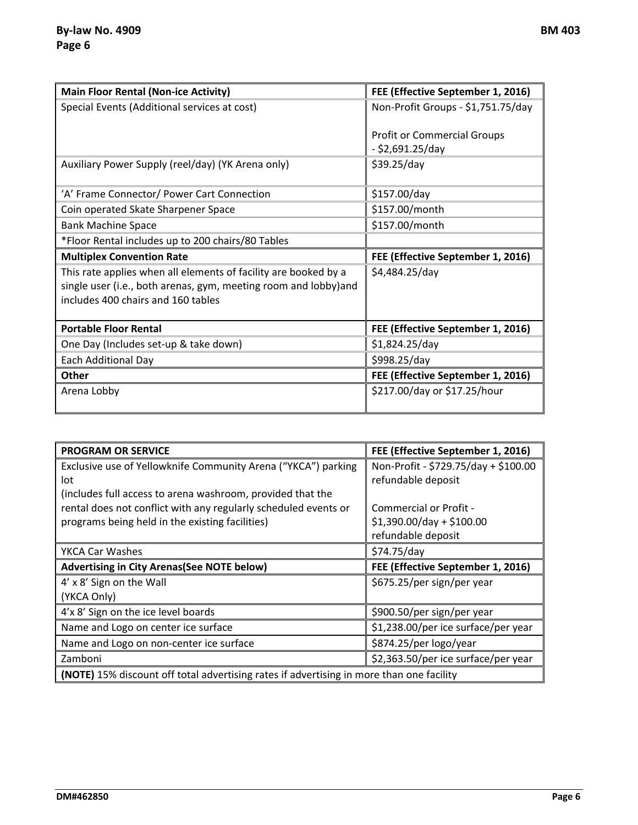| <b>Main Floor Rental (Non-ice Activity)</b>                      | FEE (Effective September 1, 2016)  |
|------------------------------------------------------------------|------------------------------------|
| Special Events (Additional services at cost)                     | Non-Profit Groups - \$1,751.75/day |
|                                                                  | <b>Profit or Commercial Groups</b> |
|                                                                  | - \$2,691.25/day                   |
| Auxiliary Power Supply (reel/day) (YK Arena only)                | \$39.25/day                        |
|                                                                  |                                    |
| 'A' Frame Connector/ Power Cart Connection                       | \$157.00/day                       |
| Coin operated Skate Sharpener Space                              | \$157.00/month                     |
| <b>Bank Machine Space</b>                                        | \$157.00/month                     |
| *Floor Rental includes up to 200 chairs/80 Tables                |                                    |
| <b>Multiplex Convention Rate</b>                                 | FEE (Effective September 1, 2016)  |
| This rate applies when all elements of facility are booked by a  | \$4,484.25/day                     |
| single user (i.e., both arenas, gym, meeting room and lobby) and |                                    |
| includes 400 chairs and 160 tables                               |                                    |
| <b>Portable Floor Rental</b>                                     |                                    |
|                                                                  | FEE (Effective September 1, 2016)  |
| One Day (Includes set-up & take down)                            | \$1,824.25/day                     |
| Each Additional Day                                              | \$998.25/day                       |
| Other                                                            | FEE (Effective September 1, 2016)  |
| Arena Lobby                                                      | \$217.00/day or \$17.25/hour       |

| <b>PROGRAM OR SERVICE</b>                                                                | FEE (Effective September 1, 2016)    |  |
|------------------------------------------------------------------------------------------|--------------------------------------|--|
| Exclusive use of Yellowknife Community Arena ("YKCA") parking                            | Non-Profit - \$729.75/day + \$100.00 |  |
| lot                                                                                      | refundable deposit                   |  |
| (includes full access to arena washroom, provided that the                               |                                      |  |
| rental does not conflict with any regularly scheduled events or                          | Commercial or Profit -               |  |
| programs being held in the existing facilities)                                          | $$1,390.00/day + $100.00$            |  |
|                                                                                          | refundable deposit                   |  |
| YKCA Car Washes                                                                          | \$74.75/day                          |  |
| <b>Advertising in City Arenas (See NOTE below)</b>                                       | FEE (Effective September 1, 2016)    |  |
| 4' x 8' Sign on the Wall                                                                 | \$675.25/per sign/per year           |  |
| (YKCA Only)                                                                              |                                      |  |
| 4'x 8' Sign on the ice level boards                                                      | \$900.50/per sign/per year           |  |
| Name and Logo on center ice surface                                                      | \$1,238.00/per ice surface/per year  |  |
| Name and Logo on non-center ice surface                                                  | \$874.25/per logo/year               |  |
| Zamboni                                                                                  | \$2,363.50/per ice surface/per year  |  |
| (NOTE) 15% discount off total advertising rates if advertising in more than one facility |                                      |  |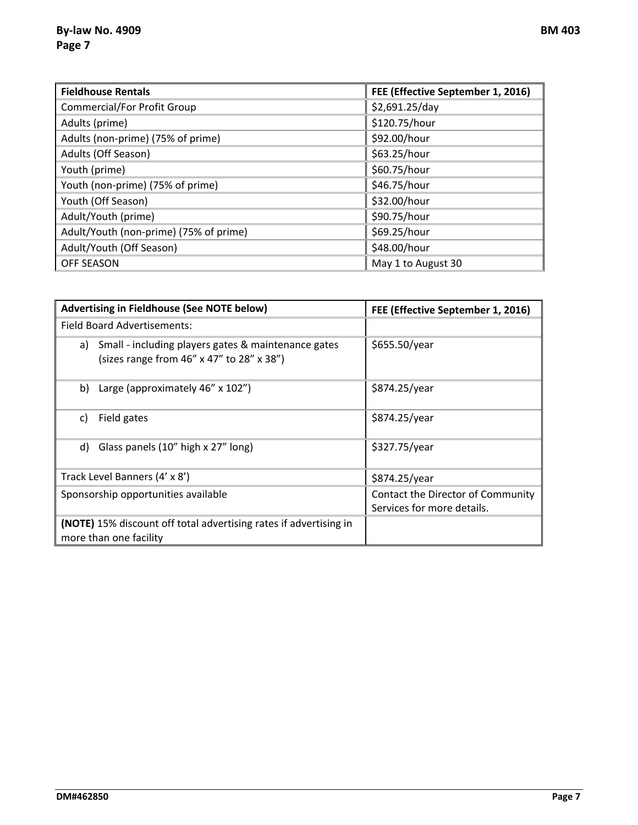| <b>Fieldhouse Rentals</b>              | FEE (Effective September 1, 2016) |
|----------------------------------------|-----------------------------------|
| Commercial/For Profit Group            | \$2,691.25/day                    |
| Adults (prime)                         | \$120.75/hour                     |
| Adults (non-prime) (75% of prime)      | \$92.00/hour                      |
| Adults (Off Season)                    | \$63.25/hour                      |
| Youth (prime)                          | \$60.75/hour                      |
| Youth (non-prime) (75% of prime)       | \$46.75/hour                      |
| Youth (Off Season)                     | \$32.00/hour                      |
| Adult/Youth (prime)                    | \$90.75/hour                      |
| Adult/Youth (non-prime) (75% of prime) | \$69.25/hour                      |
| Adult/Youth (Off Season)               | \$48.00/hour                      |
| <b>OFF SEASON</b>                      | May 1 to August 30                |

| <b>Advertising in Fieldhouse (See NOTE below)</b>                                                   | FEE (Effective September 1, 2016)                               |
|-----------------------------------------------------------------------------------------------------|-----------------------------------------------------------------|
| Field Board Advertisements:                                                                         |                                                                 |
| a) Small - including players gates & maintenance gates<br>(sizes range from 46" x 47" to 28" x 38") | \$655.50/year                                                   |
| Large (approximately 46" x 102")<br>b)                                                              | \$874.25/year                                                   |
| Field gates<br>C)                                                                                   | \$874.25/year                                                   |
| Glass panels (10" high x 27" long)<br>d)                                                            | \$327.75/year                                                   |
| Track Level Banners (4' x 8')                                                                       | \$874.25/year                                                   |
| Sponsorship opportunities available                                                                 | Contact the Director of Community<br>Services for more details. |
| <b>(NOTE)</b> 15% discount off total advertising rates if advertising in<br>more than one facility  |                                                                 |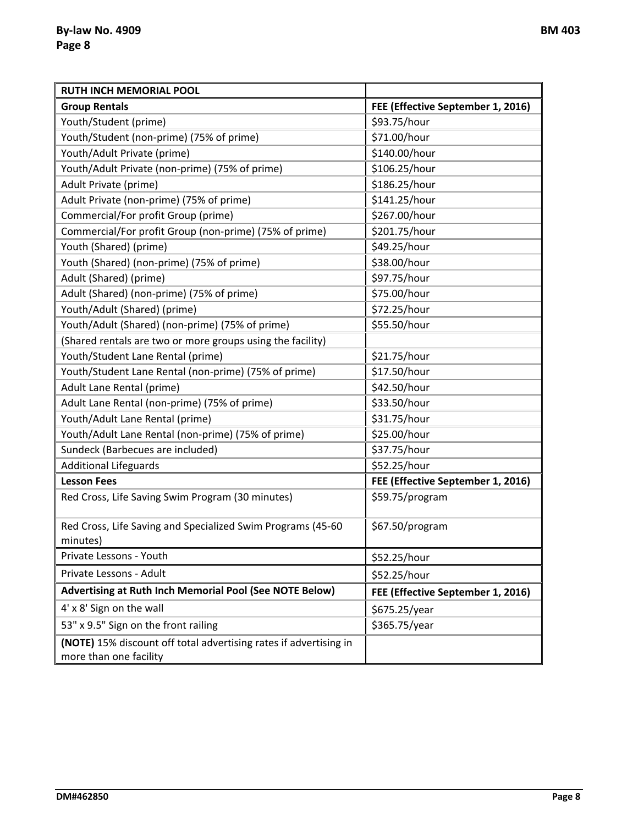| <b>RUTH INCH MEMORIAL POOL</b>                                                              |                                   |
|---------------------------------------------------------------------------------------------|-----------------------------------|
| <b>Group Rentals</b>                                                                        | FEE (Effective September 1, 2016) |
| Youth/Student (prime)                                                                       | \$93.75/hour                      |
| Youth/Student (non-prime) (75% of prime)                                                    | \$71.00/hour                      |
| Youth/Adult Private (prime)                                                                 | \$140.00/hour                     |
| Youth/Adult Private (non-prime) (75% of prime)                                              | \$106.25/hour                     |
| Adult Private (prime)                                                                       | \$186.25/hour                     |
| Adult Private (non-prime) (75% of prime)                                                    | \$141.25/hour                     |
| Commercial/For profit Group (prime)                                                         | \$267.00/hour                     |
| Commercial/For profit Group (non-prime) (75% of prime)                                      | \$201.75/hour                     |
| Youth (Shared) (prime)                                                                      | \$49.25/hour                      |
| Youth (Shared) (non-prime) (75% of prime)                                                   | \$38.00/hour                      |
| Adult (Shared) (prime)                                                                      | \$97.75/hour                      |
| Adult (Shared) (non-prime) (75% of prime)                                                   | \$75.00/hour                      |
| Youth/Adult (Shared) (prime)                                                                | \$72.25/hour                      |
| Youth/Adult (Shared) (non-prime) (75% of prime)                                             | \$55.50/hour                      |
| (Shared rentals are two or more groups using the facility)                                  |                                   |
| Youth/Student Lane Rental (prime)                                                           | \$21.75/hour                      |
| Youth/Student Lane Rental (non-prime) (75% of prime)                                        | \$17.50/hour                      |
| Adult Lane Rental (prime)                                                                   | \$42.50/hour                      |
| Adult Lane Rental (non-prime) (75% of prime)                                                | \$33.50/hour                      |
| Youth/Adult Lane Rental (prime)                                                             | \$31.75/hour                      |
| Youth/Adult Lane Rental (non-prime) (75% of prime)                                          | \$25.00/hour                      |
| Sundeck (Barbecues are included)                                                            | \$37.75/hour                      |
| <b>Additional Lifeguards</b>                                                                | \$52.25/hour                      |
| <b>Lesson Fees</b>                                                                          | FEE (Effective September 1, 2016) |
| Red Cross, Life Saving Swim Program (30 minutes)                                            | \$59.75/program                   |
| Red Cross, Life Saving and Specialized Swim Programs (45-60                                 | \$67.50/program                   |
| minutes)                                                                                    |                                   |
| Private Lessons - Youth                                                                     | \$52.25/hour                      |
| Private Lessons - Adult                                                                     | \$52.25/hour                      |
| Advertising at Ruth Inch Memorial Pool (See NOTE Below)                                     | FEE (Effective September 1, 2016) |
| 4' x 8' Sign on the wall                                                                    | \$675.25/year                     |
| 53" x 9.5" Sign on the front railing                                                        | \$365.75/year                     |
| (NOTE) 15% discount off total advertising rates if advertising in<br>more than one facility |                                   |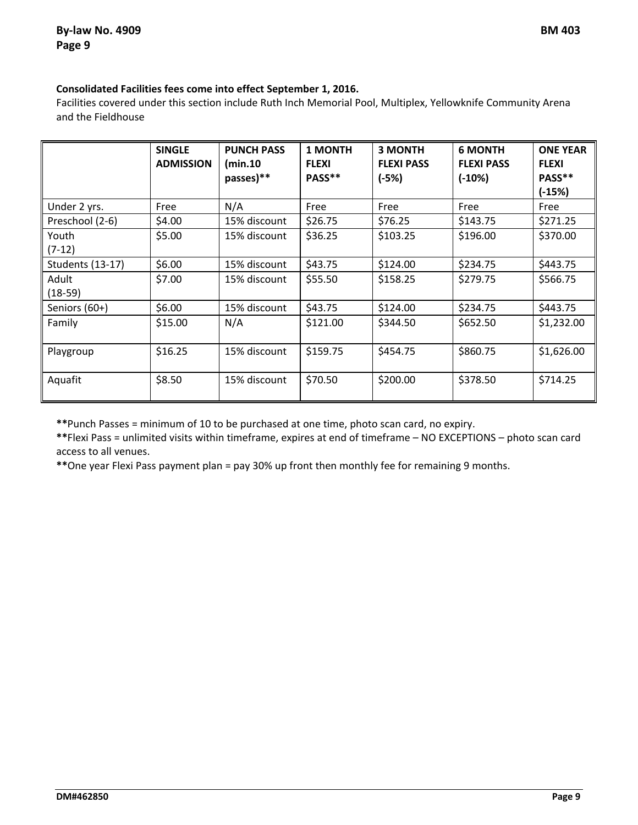### **Consolidated Facilities fees come into effect September 1, 2016.**

Facilities covered under this section include Ruth Inch Memorial Pool, Multiplex, Yellowknife Community Arena and the Fieldhouse

|                         | <b>SINGLE</b><br><b>ADMISSION</b> | <b>PUNCH PASS</b><br>(min.10<br>passes)** | 1 MONTH<br><b>FLEXI</b><br>PASS** | <b>3 MONTH</b><br><b>FLEXI PASS</b><br>$(-5%)$ | <b>6 MONTH</b><br><b>FLEXI PASS</b><br>$(-10%)$ | <b>ONE YEAR</b><br><b>FLEXI</b><br>PASS**<br>$(-15%)$ |
|-------------------------|-----------------------------------|-------------------------------------------|-----------------------------------|------------------------------------------------|-------------------------------------------------|-------------------------------------------------------|
| Under 2 yrs.            | Free                              | N/A                                       | Free                              | Free                                           | Free                                            | Free                                                  |
| Preschool (2-6)         | \$4.00                            | 15% discount                              | \$26.75                           | \$76.25                                        | \$143.75                                        | \$271.25                                              |
| Youth<br>$(7-12)$       | \$5.00                            | 15% discount                              | \$36.25                           | \$103.25                                       | \$196.00                                        | \$370.00                                              |
| <b>Students (13-17)</b> | \$6.00                            | 15% discount                              | \$43.75                           | \$124.00                                       | \$234.75                                        | \$443.75                                              |
| Adult<br>$(18-59)$      | \$7.00                            | 15% discount                              | \$55.50                           | \$158.25                                       | \$279.75                                        | \$566.75                                              |
| Seniors (60+)           | \$6.00                            | 15% discount                              | \$43.75                           | \$124.00                                       | \$234.75                                        | \$443.75                                              |
| Family                  | \$15.00                           | N/A                                       | \$121.00                          | \$344.50                                       | \$652.50                                        | \$1,232.00                                            |
| Playgroup               | \$16.25                           | 15% discount                              | \$159.75                          | \$454.75                                       | \$860.75                                        | \$1,626.00                                            |
| Aquafit                 | \$8.50                            | 15% discount                              | \$70.50                           | \$200.00                                       | \$378.50                                        | \$714.25                                              |

**\*\***Punch Passes = minimum of 10 to be purchased at one time, photo scan card, no expiry.

**\*\***Flexi Pass = unlimited visits within timeframe, expires at end of timeframe – NO EXCEPTIONS – photo scan card access to all venues.

**\*\***One year Flexi Pass payment plan = pay 30% up front then monthly fee for remaining 9 months.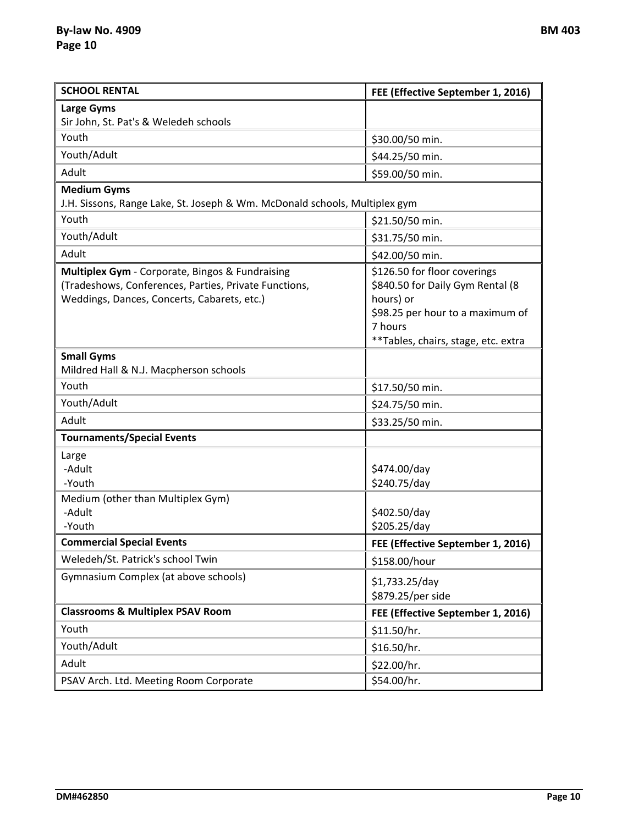| <b>SCHOOL RENTAL</b>                                                                                                                                    | FEE (Effective September 1, 2016)                                                                                                                                   |
|---------------------------------------------------------------------------------------------------------------------------------------------------------|---------------------------------------------------------------------------------------------------------------------------------------------------------------------|
| <b>Large Gyms</b>                                                                                                                                       |                                                                                                                                                                     |
| Sir John, St. Pat's & Weledeh schools                                                                                                                   |                                                                                                                                                                     |
| Youth                                                                                                                                                   | \$30.00/50 min.                                                                                                                                                     |
| Youth/Adult                                                                                                                                             | \$44.25/50 min.                                                                                                                                                     |
| Adult                                                                                                                                                   | \$59.00/50 min.                                                                                                                                                     |
| <b>Medium Gyms</b>                                                                                                                                      |                                                                                                                                                                     |
| J.H. Sissons, Range Lake, St. Joseph & Wm. McDonald schools, Multiplex gym                                                                              |                                                                                                                                                                     |
| Youth                                                                                                                                                   | \$21.50/50 min.                                                                                                                                                     |
| Youth/Adult                                                                                                                                             | \$31.75/50 min.                                                                                                                                                     |
| Adult                                                                                                                                                   | \$42.00/50 min.                                                                                                                                                     |
| Multiplex Gym - Corporate, Bingos & Fundraising<br>(Tradeshows, Conferences, Parties, Private Functions,<br>Weddings, Dances, Concerts, Cabarets, etc.) | \$126.50 for floor coverings<br>\$840.50 for Daily Gym Rental (8<br>hours) or<br>\$98.25 per hour to a maximum of<br>7 hours<br>**Tables, chairs, stage, etc. extra |
| <b>Small Gyms</b>                                                                                                                                       |                                                                                                                                                                     |
| Mildred Hall & N.J. Macpherson schools                                                                                                                  |                                                                                                                                                                     |
| Youth                                                                                                                                                   | \$17.50/50 min.                                                                                                                                                     |
| Youth/Adult                                                                                                                                             | \$24.75/50 min.                                                                                                                                                     |
| Adult                                                                                                                                                   | \$33.25/50 min.                                                                                                                                                     |
| <b>Tournaments/Special Events</b>                                                                                                                       |                                                                                                                                                                     |
| Large<br>-Adult<br>-Youth<br>Medium (other than Multiplex Gym)<br>-Adult<br>-Youth                                                                      | \$474.00/day<br>\$240.75/day<br>\$402.50/day<br>\$205.25/day                                                                                                        |
| <b>Commercial Special Events</b>                                                                                                                        | FEE (Effective September 1, 2016)                                                                                                                                   |
| Weledeh/St. Patrick's school Twin                                                                                                                       | \$158.00/hour                                                                                                                                                       |
| Gymnasium Complex (at above schools)                                                                                                                    | \$1,733.25/day<br>\$879.25/per side                                                                                                                                 |
| <b>Classrooms &amp; Multiplex PSAV Room</b>                                                                                                             | FEE (Effective September 1, 2016)                                                                                                                                   |
| Youth                                                                                                                                                   | \$11.50/hr.                                                                                                                                                         |
| Youth/Adult                                                                                                                                             | \$16.50/hr.                                                                                                                                                         |
| Adult                                                                                                                                                   | \$22.00/hr.                                                                                                                                                         |
| PSAV Arch. Ltd. Meeting Room Corporate                                                                                                                  | \$54.00/hr.                                                                                                                                                         |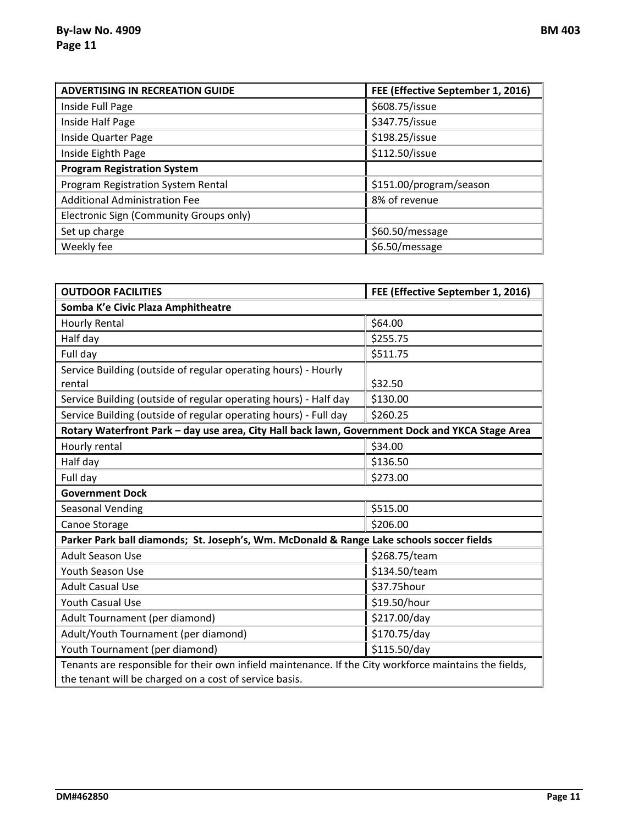| <b>ADVERTISING IN RECREATION GUIDE</b>  | FEE (Effective September 1, 2016) |
|-----------------------------------------|-----------------------------------|
| Inside Full Page                        | \$608.75/issue                    |
| Inside Half Page                        | \$347.75/issue                    |
| <b>Inside Quarter Page</b>              | \$198.25/issue                    |
| Inside Eighth Page                      | \$112.50/issue                    |
| <b>Program Registration System</b>      |                                   |
| Program Registration System Rental      | \$151.00/program/season           |
| <b>Additional Administration Fee</b>    | 8% of revenue                     |
| Electronic Sign (Community Groups only) |                                   |
| Set up charge                           | \$60.50/message                   |
| Weekly fee                              | \$6.50/message                    |

| <b>OUTDOOR FACILITIES</b>                                                                              | FEE (Effective September 1, 2016) |  |  |  |
|--------------------------------------------------------------------------------------------------------|-----------------------------------|--|--|--|
| Somba K'e Civic Plaza Amphitheatre                                                                     |                                   |  |  |  |
| <b>Hourly Rental</b>                                                                                   | \$64.00                           |  |  |  |
| Half day                                                                                               | \$255.75                          |  |  |  |
| Full day                                                                                               | \$511.75                          |  |  |  |
| Service Building (outside of regular operating hours) - Hourly                                         |                                   |  |  |  |
| rental                                                                                                 | \$32.50                           |  |  |  |
| Service Building (outside of regular operating hours) - Half day                                       | \$130.00                          |  |  |  |
| Service Building (outside of regular operating hours) - Full day                                       | \$260.25                          |  |  |  |
| Rotary Waterfront Park - day use area, City Hall back lawn, Government Dock and YKCA Stage Area        |                                   |  |  |  |
| Hourly rental                                                                                          | \$34.00                           |  |  |  |
| Half day                                                                                               | \$136.50                          |  |  |  |
| Full day                                                                                               | \$273.00                          |  |  |  |
| <b>Government Dock</b>                                                                                 |                                   |  |  |  |
| Seasonal Vending                                                                                       | \$515.00                          |  |  |  |
| Canoe Storage                                                                                          | \$206.00                          |  |  |  |
| Parker Park ball diamonds; St. Joseph's, Wm. McDonald & Range Lake schools soccer fields               |                                   |  |  |  |
| <b>Adult Season Use</b>                                                                                | \$268.75/team                     |  |  |  |
| Youth Season Use                                                                                       | \$134.50/team                     |  |  |  |
| <b>Adult Casual Use</b>                                                                                | \$37.75hour                       |  |  |  |
| <b>Youth Casual Use</b>                                                                                | \$19.50/hour                      |  |  |  |
| Adult Tournament (per diamond)                                                                         | \$217.00/day                      |  |  |  |
| Adult/Youth Tournament (per diamond)                                                                   | \$170.75/day                      |  |  |  |
| Youth Tournament (per diamond)                                                                         | \$115.50/day                      |  |  |  |
| Tenants are responsible for their own infield maintenance. If the City workforce maintains the fields, |                                   |  |  |  |
| the tenant will be charged on a cost of service basis.                                                 |                                   |  |  |  |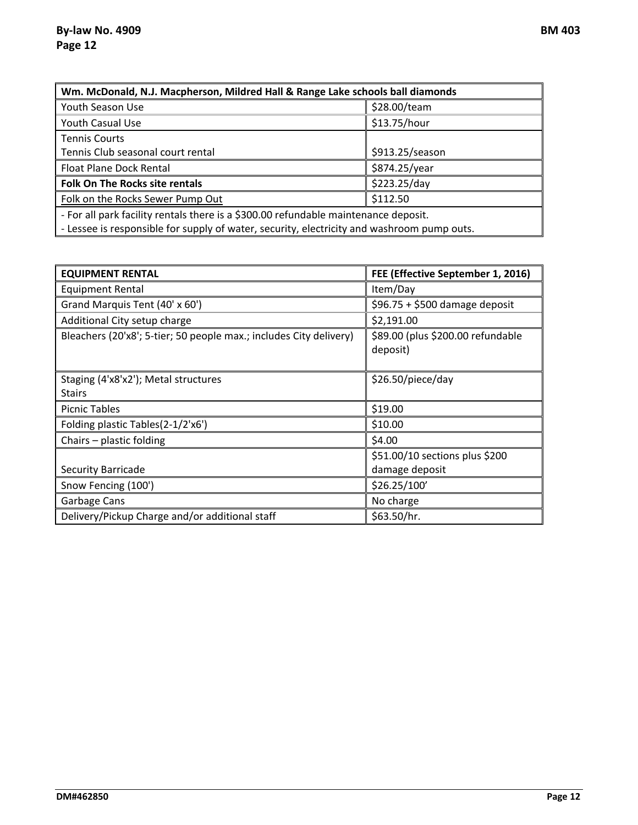| Wm. McDonald, N.J. Macpherson, Mildred Hall & Range Lake schools ball diamonds             |                 |  |  |
|--------------------------------------------------------------------------------------------|-----------------|--|--|
| Youth Season Use                                                                           | \$28.00/team    |  |  |
| Youth Casual Use                                                                           | \$13.75/hour    |  |  |
| <b>Tennis Courts</b>                                                                       |                 |  |  |
| Tennis Club seasonal court rental                                                          | \$913.25/season |  |  |
| Float Plane Dock Rental                                                                    | \$874.25/year   |  |  |
| \$223.25/day<br><b>Folk On The Rocks site rentals</b>                                      |                 |  |  |
| \$112.50<br>Folk on the Rocks Sewer Pump Out                                               |                 |  |  |
| - For all park facility rentals there is a \$300.00 refundable maintenance deposit.        |                 |  |  |
| - Lessee is responsible for supply of water, security, electricity and washroom pump outs. |                 |  |  |

| <b>EQUIPMENT RENTAL</b>                                            | FEE (Effective September 1, 2016)             |
|--------------------------------------------------------------------|-----------------------------------------------|
| <b>Equipment Rental</b>                                            | Item/Day                                      |
| Grand Marquis Tent (40' x 60')                                     | $$96.75 + $500$ damage deposit                |
| Additional City setup charge                                       | \$2,191.00                                    |
| Bleachers (20'x8'; 5-tier; 50 people max.; includes City delivery) | \$89.00 (plus \$200.00 refundable<br>deposit) |
| Staging (4'x8'x2'); Metal structures<br><b>Stairs</b>              | \$26.50/piece/day                             |
| <b>Picnic Tables</b>                                               | \$19.00                                       |
| Folding plastic Tables(2-1/2'x6')                                  | \$10.00                                       |
| Chairs - plastic folding                                           | \$4.00                                        |
|                                                                    | \$51.00/10 sections plus \$200                |
| <b>Security Barricade</b>                                          | damage deposit                                |
| Snow Fencing (100')                                                | \$26.25/100'                                  |
| Garbage Cans                                                       | No charge                                     |
| Delivery/Pickup Charge and/or additional staff                     | \$63.50/hr.                                   |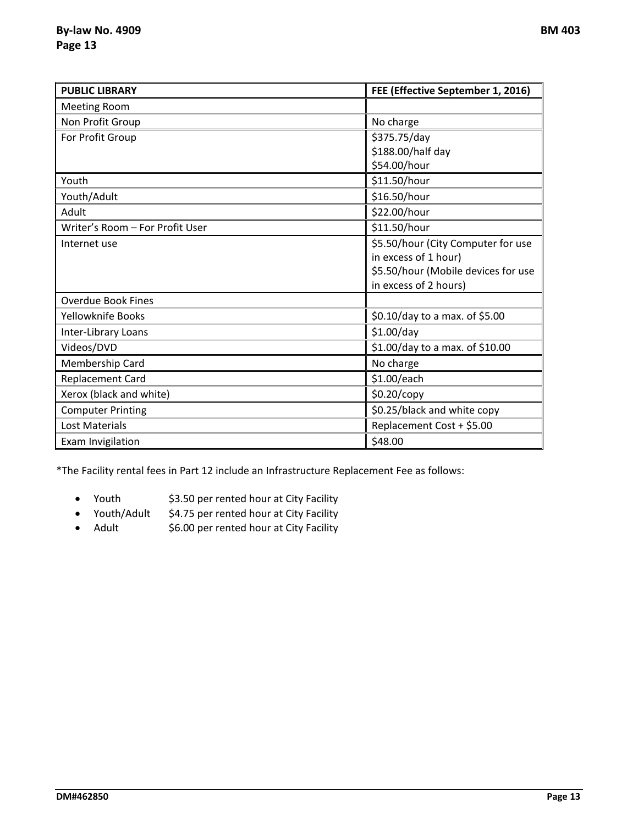| <b>PUBLIC LIBRARY</b>           | FEE (Effective September 1, 2016)   |  |
|---------------------------------|-------------------------------------|--|
| <b>Meeting Room</b>             |                                     |  |
| Non Profit Group                | No charge                           |  |
| For Profit Group                | \$375.75/day                        |  |
|                                 | \$188.00/half day                   |  |
|                                 | \$54.00/hour                        |  |
| Youth                           | \$11.50/hour                        |  |
| Youth/Adult                     | \$16.50/hour                        |  |
| Adult                           | \$22.00/hour                        |  |
| Writer's Room - For Profit User | \$11.50/hour                        |  |
| Internet use                    | \$5.50/hour (City Computer for use  |  |
|                                 | in excess of 1 hour)                |  |
|                                 | \$5.50/hour (Mobile devices for use |  |
|                                 | in excess of 2 hours)               |  |
| <b>Overdue Book Fines</b>       |                                     |  |
| Yellowknife Books               | \$0.10/day to a max. of \$5.00      |  |
| Inter-Library Loans             | \$1.00/day                          |  |
| Videos/DVD                      | \$1.00/day to a max. of \$10.00     |  |
| Membership Card                 | No charge                           |  |
| <b>Replacement Card</b>         | \$1.00/each                         |  |
| Xerox (black and white)         | \$0.20/copy                         |  |
| <b>Computer Printing</b>        | \$0.25/black and white copy         |  |
| Lost Materials                  | Replacement Cost + \$5.00           |  |
| Exam Invigilation               | \$48.00                             |  |

\*The Facility rental fees in Part 12 include an Infrastructure Replacement Fee as follows:

- Youth \$3.50 per rented hour at City Facility
- Youth/Adult \$4.75 per rented hour at City Facility
- Adult \$6.00 per rented hour at City Facility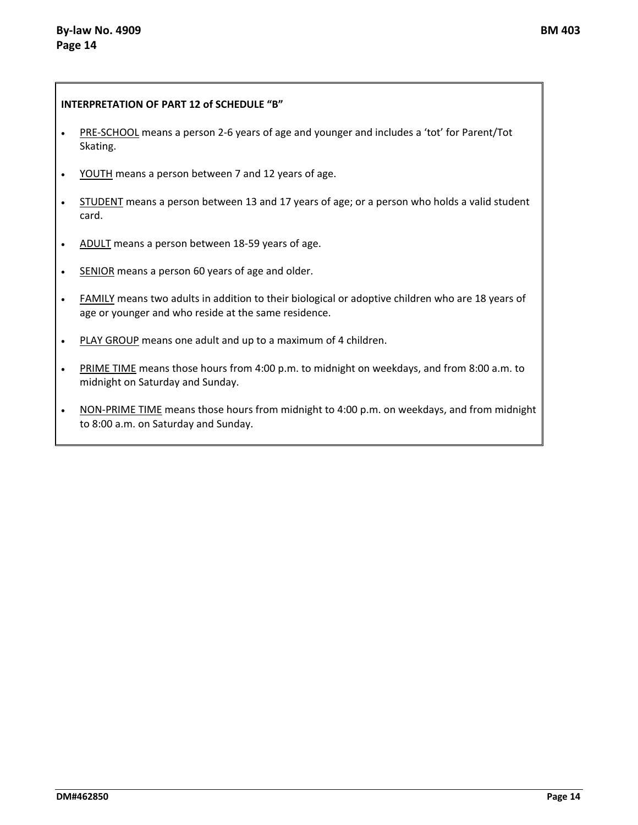#### **INTERPRETATION OF PART 12 of SCHEDULE "B"**

- PRE-SCHOOL means a person 2-6 years of age and younger and includes a 'tot' for Parent/Tot Skating.
- YOUTH means a person between 7 and 12 years of age.
- STUDENT means a person between 13 and 17 years of age; or a person who holds a valid student card.
- ADULT means a person between 18-59 years of age.
- SENIOR means a person 60 years of age and older.
- FAMILY means two adults in addition to their biological or adoptive children who are 18 years of age or younger and who reside at the same residence.
- PLAY GROUP means one adult and up to a maximum of 4 children.
- PRIME TIME means those hours from 4:00 p.m. to midnight on weekdays, and from 8:00 a.m. to midnight on Saturday and Sunday.
- NON-PRIME TIME means those hours from midnight to 4:00 p.m. on weekdays, and from midnight to 8:00 a.m. on Saturday and Sunday.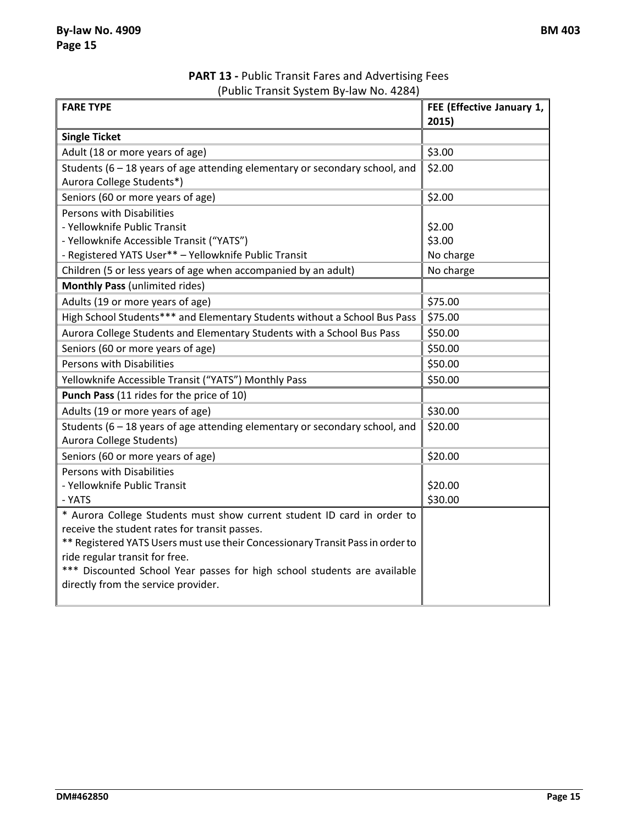**PART 13 -** Public Transit Fares and Advertising Fees (Public Transit System By-law No. 4284)

| <b>FARE TYPE</b>                                                                                        | FEE (Effective January 1, |
|---------------------------------------------------------------------------------------------------------|---------------------------|
|                                                                                                         | 2015)                     |
| <b>Single Ticket</b>                                                                                    |                           |
| Adult (18 or more years of age)                                                                         | \$3.00                    |
| Students $(6 - 18$ years of age attending elementary or secondary school, and                           | \$2.00                    |
| Aurora College Students*)                                                                               |                           |
| Seniors (60 or more years of age)                                                                       | \$2.00                    |
| Persons with Disabilities                                                                               |                           |
| - Yellowknife Public Transit                                                                            | \$2.00                    |
| - Yellowknife Accessible Transit ("YATS")                                                               | \$3.00                    |
| - Registered YATS User** - Yellowknife Public Transit                                                   | No charge                 |
| Children (5 or less years of age when accompanied by an adult)                                          | No charge                 |
| <b>Monthly Pass (unlimited rides)</b>                                                                   |                           |
| Adults (19 or more years of age)                                                                        | \$75.00                   |
| High School Students*** and Elementary Students without a School Bus Pass                               | \$75.00                   |
| Aurora College Students and Elementary Students with a School Bus Pass                                  | \$50.00                   |
| Seniors (60 or more years of age)                                                                       | \$50.00                   |
| Persons with Disabilities                                                                               | \$50.00                   |
| Yellowknife Accessible Transit ("YATS") Monthly Pass                                                    | \$50.00                   |
| Punch Pass (11 rides for the price of 10)                                                               |                           |
| Adults (19 or more years of age)                                                                        | \$30.00                   |
| Students (6 - 18 years of age attending elementary or secondary school, and<br>Aurora College Students) | \$20.00                   |
| Seniors (60 or more years of age)                                                                       | \$20.00                   |
| Persons with Disabilities                                                                               |                           |
| - Yellowknife Public Transit                                                                            | \$20.00                   |
| - YATS                                                                                                  | \$30.00                   |
| * Aurora College Students must show current student ID card in order to                                 |                           |
| receive the student rates for transit passes.                                                           |                           |
| ** Registered YATS Users must use their Concessionary Transit Pass in order to                          |                           |
| ride regular transit for free.                                                                          |                           |
| *** Discounted School Year passes for high school students are available                                |                           |
| directly from the service provider.                                                                     |                           |
|                                                                                                         |                           |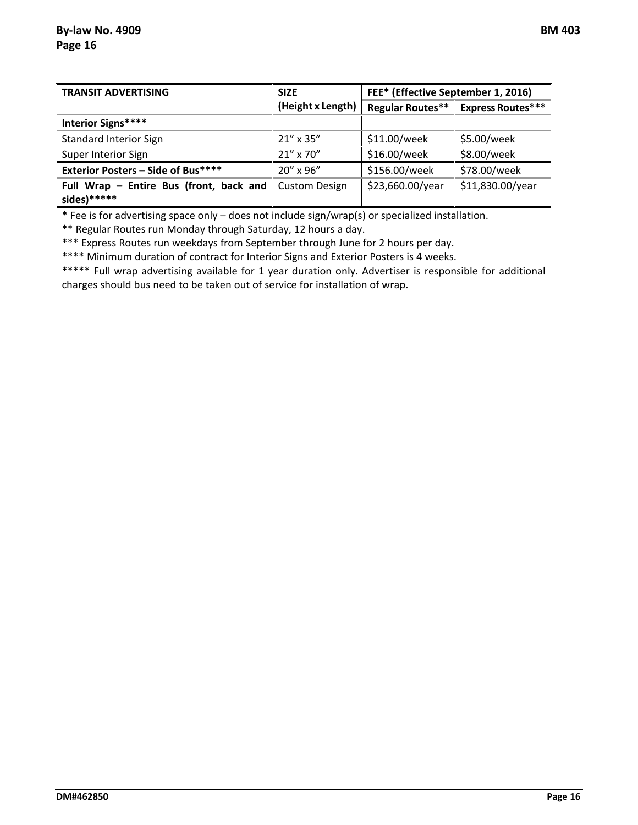| <b>TRANSIT ADVERTISING</b>                                                                       | <b>SIZE</b>          | FEE* (Effective September 1, 2016) |                          |
|--------------------------------------------------------------------------------------------------|----------------------|------------------------------------|--------------------------|
|                                                                                                  | (Height x Length)    | <b>Regular Routes**</b>            | <b>Express Routes***</b> |
| Interior Signs****                                                                               |                      |                                    |                          |
| <b>Standard Interior Sign</b>                                                                    | 21" x 35"            | \$11.00/week                       | \$5.00/week              |
| Super Interior Sign                                                                              | 21" x 70"            | \$16.00/week                       | \$8.00/week              |
| <b>Exterior Posters - Side of Bus****</b>                                                        | 20" x 96"            | \$156.00/week                      | \$78.00/week             |
| Full Wrap - Entire Bus (front, back and                                                          | <b>Custom Design</b> | \$23,660.00/year                   | \$11,830.00/year         |
| sides)******                                                                                     |                      |                                    |                          |
| * Fee is for advertising space only – does not include sign/wrap(s) or specialized installation. |                      |                                    |                          |

\*\* Regular Routes run Monday through Saturday, 12 hours a day.

\*\*\* Express Routes run weekdays from September through June for 2 hours per day.

\*\*\*\* Minimum duration of contract for Interior Signs and Exterior Posters is 4 weeks.

\*\*\*\*\* Full wrap advertising available for 1 year duration only. Advertiser is responsible for additional charges should bus need to be taken out of service for installation of wrap.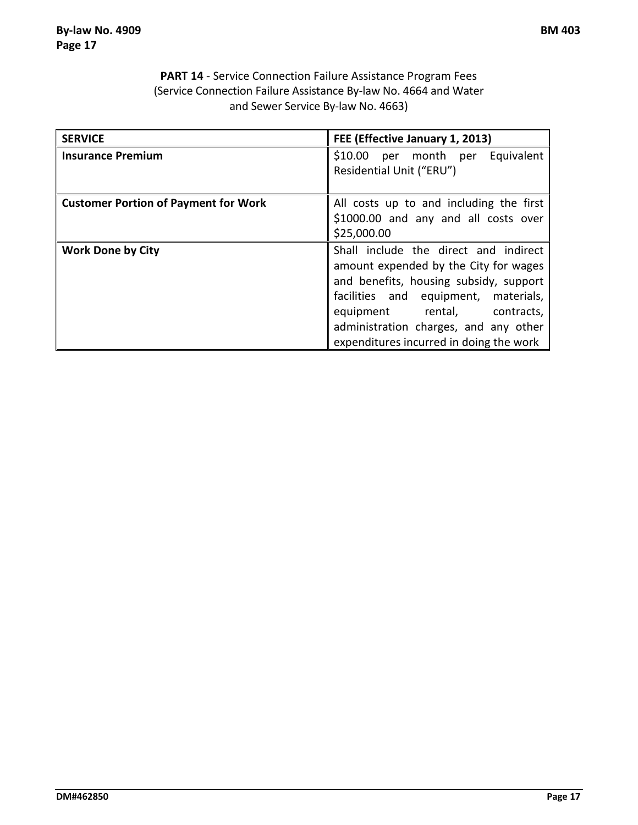### **PART 14** - Service Connection Failure Assistance Program Fees (Service Connection Failure Assistance By-law No. 4664 and Water and Sewer Service By-law No. 4663)

| <b>SERVICE</b>                              | FEE (Effective January 1, 2013)                                                                                                                                                                                                                                                      |
|---------------------------------------------|--------------------------------------------------------------------------------------------------------------------------------------------------------------------------------------------------------------------------------------------------------------------------------------|
| <b>Insurance Premium</b>                    | \$10.00 per month per<br>Equivalent<br>Residential Unit ("ERU")                                                                                                                                                                                                                      |
| <b>Customer Portion of Payment for Work</b> | All costs up to and including the first<br>\$1000.00 and any and all costs over<br>\$25,000.00                                                                                                                                                                                       |
| <b>Work Done by City</b>                    | Shall include the direct and indirect<br>amount expended by the City for wages<br>and benefits, housing subsidy, support<br>facilities and equipment, materials,<br>equipment rental, contracts,<br>administration charges, and any other<br>expenditures incurred in doing the work |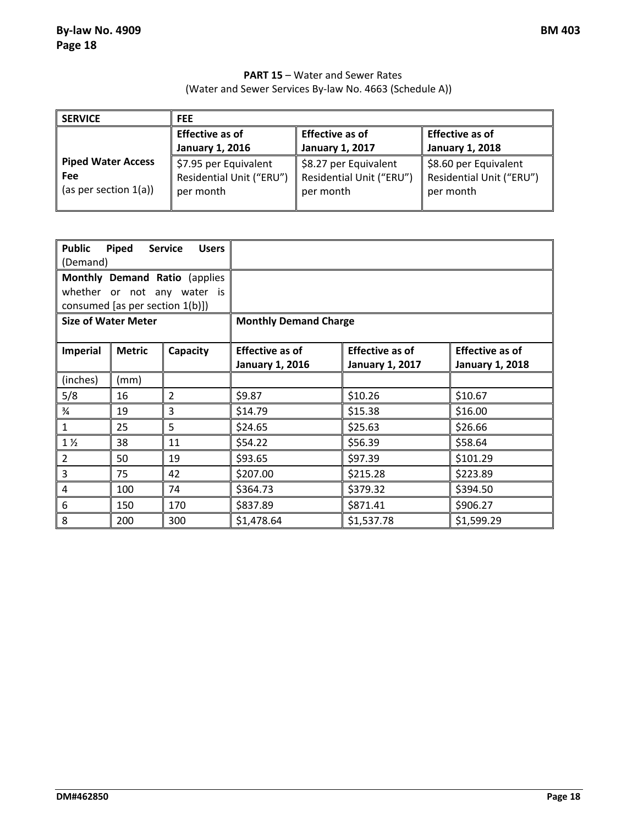### **PART 15** – Water and Sewer Rates (Water and Sewer Services By-law No. 4663 (Schedule A))

| <b>SERVICE</b>            | <b>FEE</b>               |                          |                          |  |
|---------------------------|--------------------------|--------------------------|--------------------------|--|
|                           | <b>Effective as of</b>   | <b>Effective as of</b>   | <b>Effective as of</b>   |  |
|                           | <b>January 1, 2016</b>   | <b>January 1, 2017</b>   | <b>January 1, 2018</b>   |  |
| <b>Piped Water Access</b> | \$7.95 per Equivalent    | \$8.27 per Equivalent    | \$8.60 per Equivalent    |  |
| Fee                       | Residential Unit ("ERU") | Residential Unit ("ERU") | Residential Unit ("ERU") |  |
| (as per section $1(a)$ )  | per month                | per month                | per month                |  |

| <b>Public</b><br>(Demand)                                                                       | Piped         | <b>Service</b><br><b>Users</b> |                                                                                                                                                   |            |            |  |
|-------------------------------------------------------------------------------------------------|---------------|--------------------------------|---------------------------------------------------------------------------------------------------------------------------------------------------|------------|------------|--|
| Monthly Demand Ratio (applies<br>whether or not any water is<br>consumed [as per section 1(b)]) |               |                                |                                                                                                                                                   |            |            |  |
| <b>Size of Water Meter</b>                                                                      |               |                                | <b>Monthly Demand Charge</b>                                                                                                                      |            |            |  |
| Imperial                                                                                        | <b>Metric</b> | Capacity                       | <b>Effective as of</b><br><b>Effective as of</b><br><b>Effective as of</b><br>January 1, 2016<br><b>January 1, 2017</b><br><b>January 1, 2018</b> |            |            |  |
| (inches)                                                                                        | (mm)          |                                |                                                                                                                                                   |            |            |  |
| 5/8                                                                                             | 16            | 2                              | \$9.87                                                                                                                                            | \$10.26    | \$10.67    |  |
| $\frac{3}{4}$                                                                                   | 19            | 3                              | \$14.79                                                                                                                                           | \$15.38    | \$16.00    |  |
| $\mathbf{1}$                                                                                    | 25            | 5                              | \$24.65                                                                                                                                           | \$25.63    | \$26.66    |  |
| $1\frac{1}{2}$                                                                                  | 38            | 11                             | \$54.22                                                                                                                                           | \$56.39    | \$58.64    |  |
| $\overline{2}$                                                                                  | 50            | 19                             | \$93.65                                                                                                                                           | \$97.39    | \$101.29   |  |
| $\overline{3}$                                                                                  | 75            | 42                             | \$207.00                                                                                                                                          | \$215.28   | \$223.89   |  |
| $\overline{4}$                                                                                  | 100           | 74                             | \$364.73                                                                                                                                          | \$379.32   | \$394.50   |  |
| $6\,$                                                                                           | 150           | 170                            | \$837.89                                                                                                                                          | \$871.41   | \$906.27   |  |
| 8                                                                                               | 200           | 300                            | \$1,478.64                                                                                                                                        | \$1,537.78 | \$1,599.29 |  |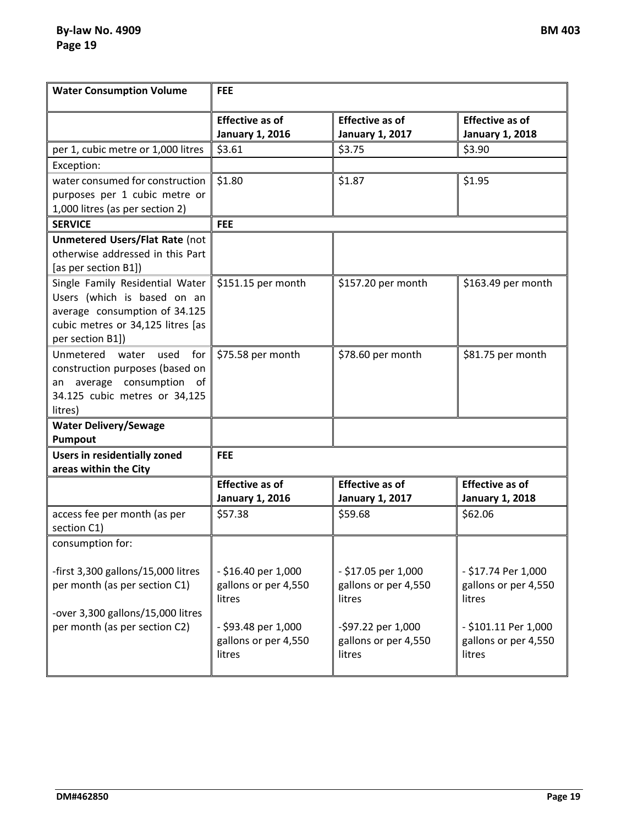**By-law No. 4909 BM 403 Page 19**

| <b>Water Consumption Volume</b>                                                                                                                          | <b>FEE</b>                                                                                                     |                                                                                                               |                                                                                                                 |  |
|----------------------------------------------------------------------------------------------------------------------------------------------------------|----------------------------------------------------------------------------------------------------------------|---------------------------------------------------------------------------------------------------------------|-----------------------------------------------------------------------------------------------------------------|--|
|                                                                                                                                                          | <b>Effective as of</b><br><b>January 1, 2016</b>                                                               | <b>Effective as of</b><br><b>January 1, 2017</b>                                                              | <b>Effective as of</b><br><b>January 1, 2018</b>                                                                |  |
| per 1, cubic metre or 1,000 litres                                                                                                                       | \$3.61                                                                                                         | \$3.75                                                                                                        | \$3.90                                                                                                          |  |
| Exception:                                                                                                                                               |                                                                                                                |                                                                                                               |                                                                                                                 |  |
| water consumed for construction<br>purposes per 1 cubic metre or<br>1,000 litres (as per section 2)                                                      | \$1.80                                                                                                         | \$1.87                                                                                                        | \$1.95                                                                                                          |  |
| <b>SERVICE</b>                                                                                                                                           | <b>FEE</b>                                                                                                     |                                                                                                               |                                                                                                                 |  |
| <b>Unmetered Users/Flat Rate (not</b><br>otherwise addressed in this Part<br>[as per section B1])                                                        |                                                                                                                |                                                                                                               |                                                                                                                 |  |
| Single Family Residential Water<br>Users (which is based on an<br>average consumption of 34.125<br>cubic metres or 34,125 litres [as<br>per section B1]) | \$151.15 per month                                                                                             | \$157.20 per month                                                                                            | \$163.49 per month                                                                                              |  |
| Unmetered<br>used<br>for<br>water<br>construction purposes (based on<br>an average consumption of<br>34.125 cubic metres or 34,125<br>litres)            | \$75.58 per month                                                                                              | \$78.60 per month                                                                                             | \$81.75 per month                                                                                               |  |
| <b>Water Delivery/Sewage</b>                                                                                                                             |                                                                                                                |                                                                                                               |                                                                                                                 |  |
| Pumpout                                                                                                                                                  |                                                                                                                |                                                                                                               |                                                                                                                 |  |
| <b>Users in residentially zoned</b><br>areas within the City                                                                                             | <b>FEE</b>                                                                                                     |                                                                                                               |                                                                                                                 |  |
|                                                                                                                                                          | <b>Effective as of</b><br><b>January 1, 2016</b>                                                               | <b>Effective as of</b><br><b>January 1, 2017</b>                                                              | <b>Effective as of</b><br><b>January 1, 2018</b>                                                                |  |
| access fee per month (as per<br>section C1)                                                                                                              | \$57.38                                                                                                        | \$59.68                                                                                                       | \$62.06                                                                                                         |  |
| consumption for:                                                                                                                                         |                                                                                                                |                                                                                                               |                                                                                                                 |  |
| -first 3,300 gallons/15,000 litres<br>per month (as per section C1)<br>-over 3,300 gallons/15,000 litres<br>per month (as per section C2)                | - \$16.40 per 1,000<br>gallons or per 4,550<br>litres<br>- \$93.48 per 1,000<br>gallons or per 4,550<br>litres | - \$17.05 per 1,000<br>gallons or per 4,550<br>litres<br>-\$97.22 per 1,000<br>gallons or per 4,550<br>litres | - \$17.74 Per 1,000<br>gallons or per 4,550<br>litres<br>- \$101.11 Per 1,000<br>gallons or per 4,550<br>litres |  |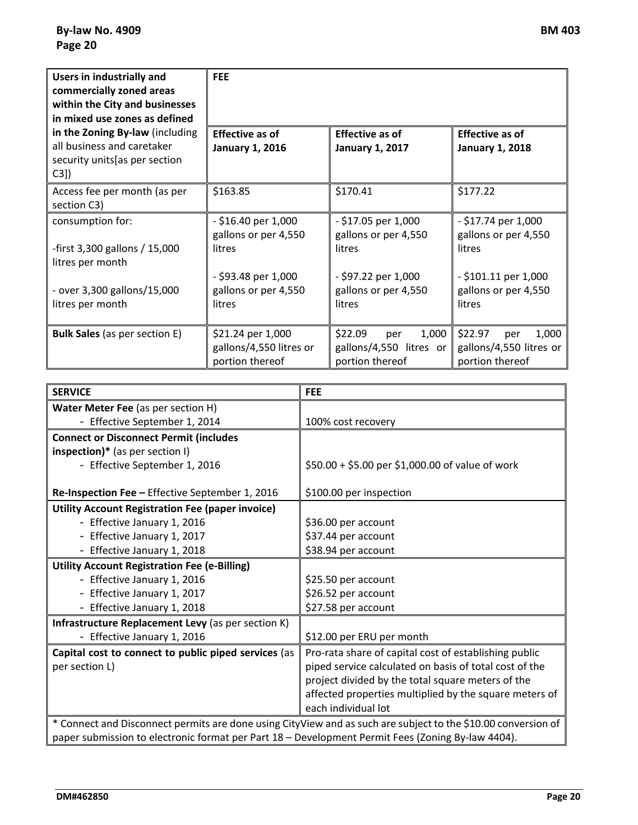| Users in industrially and<br>commercially zoned areas<br>within the City and businesses<br>in mixed use zones as defined | <b>FEE</b>                                                      |                                                                       |                                                                       |  |
|--------------------------------------------------------------------------------------------------------------------------|-----------------------------------------------------------------|-----------------------------------------------------------------------|-----------------------------------------------------------------------|--|
| in the Zoning By-law (including<br>all business and caretaker<br>security units [as per section<br>$C3$ ])               | Effective as of<br><b>January 1, 2016</b>                       | <b>Effective as of</b><br><b>January 1, 2017</b>                      | <b>Effective as of</b><br><b>January 1, 2018</b>                      |  |
| Access fee per month (as per<br>section C3)                                                                              | \$163.85                                                        | \$170.41                                                              | \$177.22                                                              |  |
| consumption for:<br>-first 3,300 gallons / 15,000<br>litres per month                                                    | - \$16.40 per 1,000<br>gallons or per 4,550<br>litres           | - \$17.05 per 1,000<br>gallons or per 4,550<br>litres                 | $-$ \$17.74 per 1,000<br>gallons or per 4,550<br>litres               |  |
| - over 3,300 gallons/15,000<br>litres per month                                                                          | - \$93.48 per 1,000<br>gallons or per 4,550<br>litres           | - \$97.22 per 1,000<br>gallons or per 4,550<br>litres                 | $-$ \$101.11 per 1,000<br>gallons or per 4,550<br>litres              |  |
| <b>Bulk Sales</b> (as per section E)                                                                                     | \$21.24 per 1,000<br>gallons/4,550 litres or<br>portion thereof | \$22.09<br>1,000<br>per<br>gallons/4,550 litres or<br>portion thereof | \$22.97<br>1,000<br>per<br>gallons/4,550 litres or<br>portion thereof |  |

| <b>SERVICE</b>                                                                                                | <b>FEE</b>                                             |  |
|---------------------------------------------------------------------------------------------------------------|--------------------------------------------------------|--|
| Water Meter Fee (as per section H)                                                                            |                                                        |  |
| - Effective September 1, 2014                                                                                 | 100% cost recovery                                     |  |
| <b>Connect or Disconnect Permit (includes</b>                                                                 |                                                        |  |
| $inspection)*$ (as per section I)                                                                             |                                                        |  |
| - Effective September 1, 2016                                                                                 | \$50.00 + \$5.00 per \$1,000.00 of value of work       |  |
|                                                                                                               |                                                        |  |
| Re-Inspection Fee - Effective September 1, 2016                                                               | \$100.00 per inspection                                |  |
| <b>Utility Account Registration Fee (paper invoice)</b>                                                       |                                                        |  |
| - Effective January 1, 2016                                                                                   | \$36.00 per account                                    |  |
| - Effective January 1, 2017                                                                                   | \$37.44 per account                                    |  |
| - Effective January 1, 2018                                                                                   | \$38.94 per account                                    |  |
| <b>Utility Account Registration Fee (e-Billing)</b>                                                           |                                                        |  |
| - Effective January 1, 2016                                                                                   | \$25.50 per account                                    |  |
| - Effective January 1, 2017                                                                                   | \$26.52 per account                                    |  |
| - Effective January 1, 2018                                                                                   | \$27.58 per account                                    |  |
| Infrastructure Replacement Levy (as per section K)                                                            |                                                        |  |
| - Effective January 1, 2016                                                                                   | \$12.00 per ERU per month                              |  |
| Capital cost to connect to public piped services (as                                                          | Pro-rata share of capital cost of establishing public  |  |
| per section L)                                                                                                | piped service calculated on basis of total cost of the |  |
|                                                                                                               | project divided by the total square meters of the      |  |
|                                                                                                               | affected properties multiplied by the square meters of |  |
|                                                                                                               | each individual lot                                    |  |
| * Connect and Disconnect permits are done using CityView and as such are subject to the \$10.00 conversion of |                                                        |  |
| paper submission to electronic format per Part 18 - Development Permit Fees (Zoning By-law 4404).             |                                                        |  |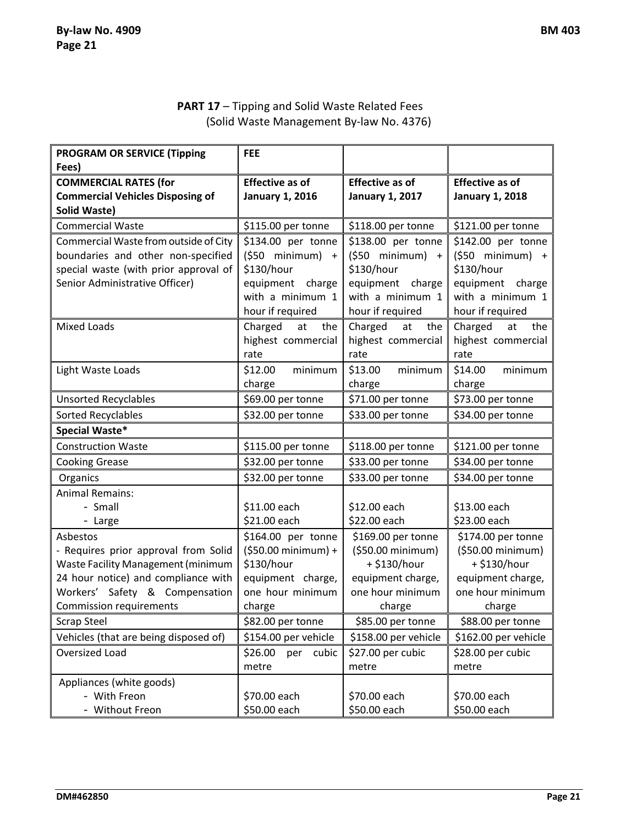# **PART 17** – Tipping and Solid Waste Related Fees (Solid Waste Management By-law No. 4376)

| <b>PROGRAM OR SERVICE (Tipping</b>      | <b>FEE</b>                                 |                                            |                                            |
|-----------------------------------------|--------------------------------------------|--------------------------------------------|--------------------------------------------|
| Fees)                                   |                                            |                                            |                                            |
| <b>COMMERCIAL RATES (for</b>            | <b>Effective as of</b>                     | <b>Effective as of</b>                     | <b>Effective as of</b>                     |
| <b>Commercial Vehicles Disposing of</b> | <b>January 1, 2016</b>                     | <b>January 1, 2017</b>                     | <b>January 1, 2018</b>                     |
| <b>Solid Waste)</b>                     |                                            |                                            |                                            |
| <b>Commercial Waste</b>                 | \$115.00 per tonne                         | \$118.00 per tonne                         | \$121.00 per tonne                         |
| Commercial Waste from outside of City   | \$134.00 per tonne                         | \$138.00 per tonne                         | \$142.00 per tonne                         |
| boundaries and other non-specified      | $(550$ minimum) +                          | $(550$ minimum) +                          | $(550$ minimum) +                          |
| special waste (with prior approval of   | \$130/hour                                 | \$130/hour                                 | \$130/hour                                 |
| Senior Administrative Officer)          | equipment charge                           | equipment<br>charge                        | equipment<br>charge                        |
|                                         | with a minimum 1                           | with a minimum 1                           | with a minimum 1                           |
|                                         | hour if required                           | hour if required                           | hour if required                           |
| <b>Mixed Loads</b>                      | the<br>Charged<br>at<br>highest commercial | Charged<br>at<br>the<br>highest commercial | Charged<br>the<br>at<br>highest commercial |
|                                         | rate                                       | rate                                       | rate                                       |
| Light Waste Loads                       | minimum<br>\$12.00                         | \$13.00<br>minimum                         | \$14.00<br>minimum                         |
|                                         | charge                                     | charge                                     | charge                                     |
| <b>Unsorted Recyclables</b>             | \$69.00 per tonne                          | \$71.00 per tonne                          | \$73.00 per tonne                          |
| Sorted Recyclables                      | \$32.00 per tonne                          | \$33.00 per tonne                          | \$34.00 per tonne                          |
| Special Waste*                          |                                            |                                            |                                            |
| <b>Construction Waste</b>               | \$115.00 per tonne                         | \$118.00 per tonne                         | \$121.00 per tonne                         |
| <b>Cooking Grease</b>                   | \$32.00 per tonne                          | \$33.00 per tonne                          | \$34.00 per tonne                          |
| Organics                                | \$32.00 per tonne                          | \$33.00 per tonne                          | \$34.00 per tonne                          |
| <b>Animal Remains:</b>                  |                                            |                                            |                                            |
| - Small                                 | \$11.00 each                               | \$12.00 each                               | \$13.00 each                               |
| - Large                                 | \$21.00 each                               | \$22.00 each                               | \$23.00 each                               |
| Asbestos                                | \$164.00 per tonne                         | \$169.00 per tonne                         | \$174.00 per tonne                         |
| - Requires prior approval from Solid    | $(550.00 \text{ minimum}) +$               | (\$50.00 minimum)                          | (\$50.00 minimum)                          |
| Waste Facility Management (minimum      | \$130/hour                                 | + \$130/hour                               | + \$130/hour                               |
| 24 hour notice) and compliance with     | equipment charge,                          | equipment charge,                          | equipment charge,                          |
| Workers' Safety & Compensation          | one hour minimum                           | one hour minimum                           | one hour minimum                           |
| <b>Commission requirements</b>          | charge                                     | charge                                     | charge                                     |
| <b>Scrap Steel</b>                      | \$82.00 per tonne                          | \$85.00 per tonne                          | \$88.00 per tonne                          |
| Vehicles (that are being disposed of)   | \$154.00 per vehicle                       | \$158.00 per vehicle                       | \$162.00 per vehicle                       |
| Oversized Load                          | \$26.00<br>cubic<br>per                    | \$27.00 per cubic                          | \$28.00 per cubic                          |
|                                         | metre                                      | metre                                      | metre                                      |
| Appliances (white goods)                |                                            |                                            |                                            |
| - With Freon                            | \$70.00 each                               | \$70.00 each                               | \$70.00 each                               |
| - Without Freon                         | \$50.00 each                               | \$50.00 each                               | \$50.00 each                               |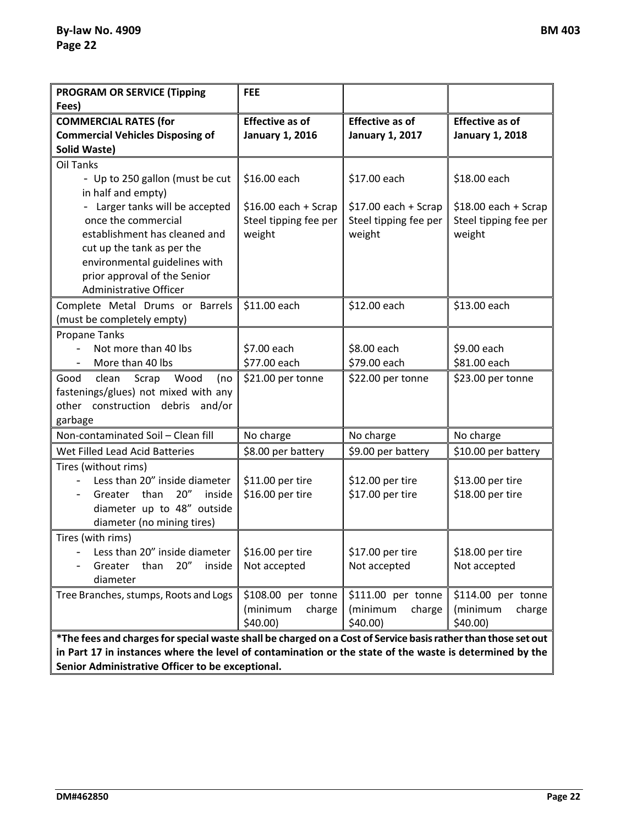| <b>PROGRAM OR SERVICE (Tipping</b><br>Fees)                                                                                                                                                                                                                                  | <b>FEE</b>                                                               |                                                                          |                                                                          |
|------------------------------------------------------------------------------------------------------------------------------------------------------------------------------------------------------------------------------------------------------------------------------|--------------------------------------------------------------------------|--------------------------------------------------------------------------|--------------------------------------------------------------------------|
| <b>COMMERCIAL RATES (for</b><br><b>Commercial Vehicles Disposing of</b><br><b>Solid Waste)</b>                                                                                                                                                                               | <b>Effective as of</b><br><b>January 1, 2016</b>                         | <b>Effective as of</b><br><b>January 1, 2017</b>                         | <b>Effective as of</b><br><b>January 1, 2018</b>                         |
| Oil Tanks<br>- Up to 250 gallon (must be cut<br>in half and empty)<br>- Larger tanks will be accepted<br>once the commercial<br>establishment has cleaned and<br>cut up the tank as per the                                                                                  | \$16.00 each<br>$$16.00$ each + Scrap<br>Steel tipping fee per<br>weight | \$17.00 each<br>$$17.00$ each + Scrap<br>Steel tipping fee per<br>weight | \$18.00 each<br>$$18.00$ each + Scrap<br>Steel tipping fee per<br>weight |
| environmental guidelines with<br>prior approval of the Senior<br>Administrative Officer                                                                                                                                                                                      |                                                                          |                                                                          |                                                                          |
| Complete Metal Drums or Barrels<br>(must be completely empty)                                                                                                                                                                                                                | \$11.00 each                                                             | \$12.00 each                                                             | \$13.00 each                                                             |
| <b>Propane Tanks</b><br>Not more than 40 lbs<br>More than 40 lbs<br>$\qquad \qquad -$                                                                                                                                                                                        | \$7.00 each<br>\$77.00 each                                              | \$8.00 each<br>\$79.00 each                                              | \$9.00 each<br>\$81.00 each                                              |
| Wood<br>Good<br>clean<br>Scrap<br>(no<br>fastenings/glues) not mixed with any<br>other<br>construction debris<br>and/or<br>garbage                                                                                                                                           | \$21.00 per tonne                                                        | \$22.00 per tonne                                                        | \$23.00 per tonne                                                        |
| Non-contaminated Soil - Clean fill                                                                                                                                                                                                                                           | No charge                                                                | No charge                                                                | No charge                                                                |
| Wet Filled Lead Acid Batteries                                                                                                                                                                                                                                               | \$8.00 per battery                                                       | \$9.00 per battery                                                       | \$10.00 per battery                                                      |
| Tires (without rims)<br>Less than 20" inside diameter<br>Greater than<br>20''<br>inside<br>diameter up to 48" outside<br>diameter (no mining tires)                                                                                                                          | \$11.00 per tire<br>\$16.00 per tire                                     | \$12.00 per tire<br>\$17.00 per tire                                     | \$13.00 per tire<br>\$18.00 per tire                                     |
| Tires (with rims)<br>Less than 20" inside diameter<br>Greater<br>than<br>20''<br>inside<br>diameter                                                                                                                                                                          | \$16.00 per tire<br>Not accepted                                         | \$17.00 per tire<br>Not accepted                                         | \$18.00 per tire<br>Not accepted                                         |
| Tree Branches, stumps, Roots and Logs                                                                                                                                                                                                                                        | \$108.00 per tonne<br>(minimum<br>charge<br>$$40.00$ )                   | \$111.00 per tonne<br>(minimum<br>charge<br>$$40.00$ )                   | \$114.00 per tonne<br>(minimum<br>charge<br>$$40.00$ )                   |
| *The fees and charges for special waste shall be charged on a Cost of Service basis rather than those set out<br>in Part 17 in instances where the level of contamination or the state of the waste is determined by the<br>Senior Administrative Officer to be exceptional. |                                                                          |                                                                          |                                                                          |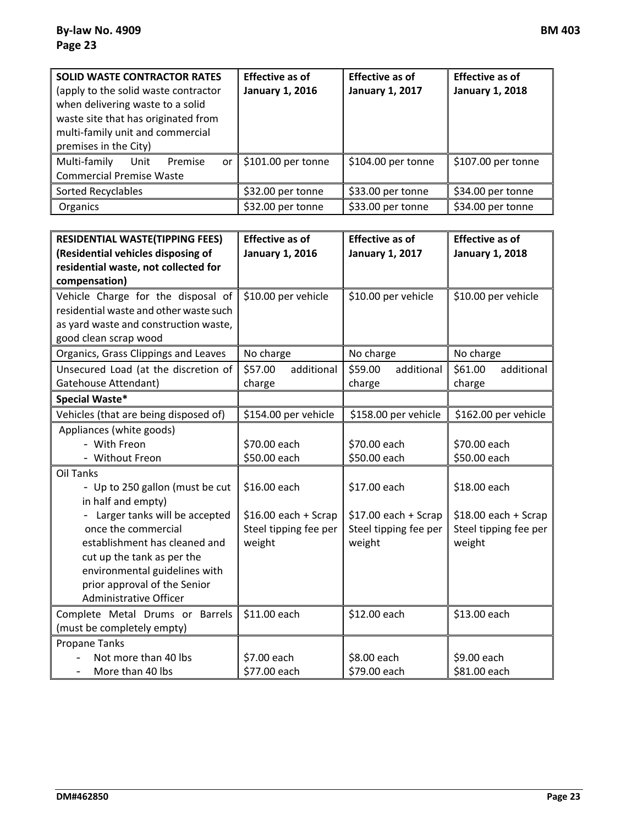| <b>SOLID WASTE CONTRACTOR RATES</b><br>(apply to the solid waste contractor<br>when delivering waste to a solid<br>waste site that has originated from<br>multi-family unit and commercial<br>premises in the City) | <b>Effective as of</b><br><b>January 1, 2016</b> | <b>Effective as of</b><br><b>January 1, 2017</b> | <b>Effective as of</b><br><b>January 1, 2018</b> |
|---------------------------------------------------------------------------------------------------------------------------------------------------------------------------------------------------------------------|--------------------------------------------------|--------------------------------------------------|--------------------------------------------------|
| Multi-family Unit<br>Premise<br><b>Commercial Premise Waste</b>                                                                                                                                                     | or $\parallel$ \$101.00 per tonne                | \$104.00 per tonne                               | \$107.00 per tonne                               |
| Sorted Recyclables                                                                                                                                                                                                  | \$32.00 per tonne                                | \$33.00 per tonne                                | \$34.00 per tonne                                |
| Organics                                                                                                                                                                                                            | \$32.00 per tonne                                | \$33.00 per tonne                                | \$34.00 per tonne                                |

| <b>RESIDENTIAL WASTE(TIPPING FEES)</b>       | <b>Effective as of</b> | <b>Effective as of</b> | <b>Effective as of</b> |
|----------------------------------------------|------------------------|------------------------|------------------------|
| (Residential vehicles disposing of           | <b>January 1, 2016</b> | <b>January 1, 2017</b> | <b>January 1, 2018</b> |
| residential waste, not collected for         |                        |                        |                        |
| compensation)                                |                        |                        |                        |
| Vehicle Charge for the disposal of           | \$10.00 per vehicle    | \$10.00 per vehicle    | \$10.00 per vehicle    |
| residential waste and other waste such       |                        |                        |                        |
| as yard waste and construction waste,        |                        |                        |                        |
| good clean scrap wood                        |                        |                        |                        |
| Organics, Grass Clippings and Leaves         | No charge              | No charge              | No charge              |
| Unsecured Load (at the discretion of         | \$57.00<br>additional  | \$59.00<br>additional  | \$61.00<br>additional  |
| Gatehouse Attendant)                         | charge                 | charge                 | charge                 |
| Special Waste*                               |                        |                        |                        |
| Vehicles (that are being disposed of)        | \$154.00 per vehicle   | \$158.00 per vehicle   | \$162.00 per vehicle   |
| Appliances (white goods)                     |                        |                        |                        |
| - With Freon                                 | \$70.00 each           | \$70.00 each           | \$70.00 each           |
| - Without Freon                              | \$50.00 each           | \$50.00 each           | \$50.00 each           |
| <b>Oil Tanks</b>                             |                        |                        |                        |
| - Up to 250 gallon (must be cut              | \$16.00 each           | \$17.00 each           | \$18.00 each           |
| in half and empty)                           |                        |                        |                        |
| - Larger tanks will be accepted              | $$16.00$ each + Scrap  | $$17.00$ each + Scrap  | $$18.00$ each + Scrap  |
| once the commercial                          | Steel tipping fee per  | Steel tipping fee per  | Steel tipping fee per  |
| establishment has cleaned and                | weight                 | weight                 | weight                 |
| cut up the tank as per the                   |                        |                        |                        |
| environmental guidelines with                |                        |                        |                        |
| prior approval of the Senior                 |                        |                        |                        |
| Administrative Officer                       |                        |                        |                        |
| Complete Metal Drums or Barrels              | \$11.00 each           | \$12.00 each           | \$13.00 each           |
| (must be completely empty)                   |                        |                        |                        |
| <b>Propane Tanks</b>                         |                        |                        |                        |
| Not more than 40 lbs                         | \$7.00 each            | \$8.00 each            | \$9.00 each            |
| More than 40 lbs<br>$\overline{\phantom{0}}$ | \$77.00 each           | \$79.00 each           | \$81.00 each           |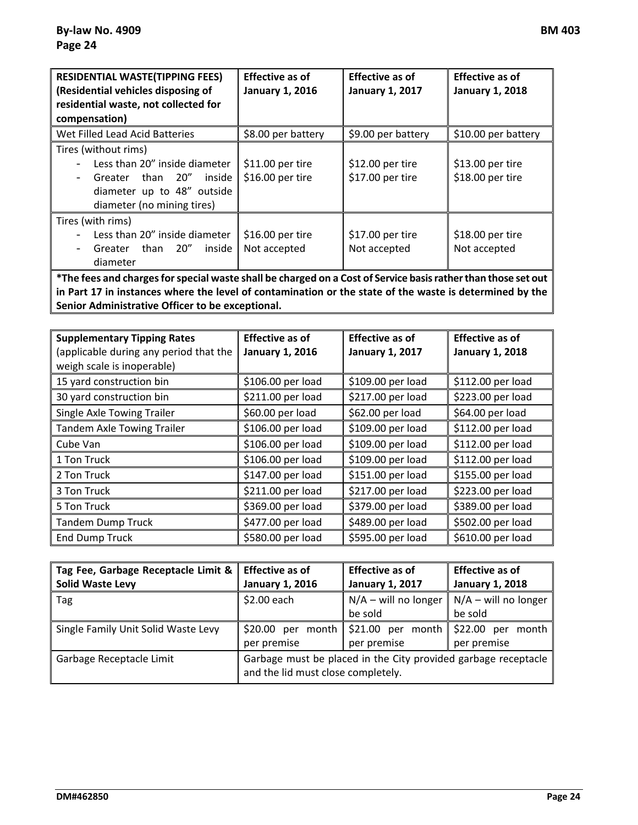| <b>RESIDENTIAL WASTE(TIPPING FEES)</b><br>(Residential vehicles disposing of<br>residential waste, not collected for<br>compensation)                                                                              | <b>Effective as of</b><br><b>January 1, 2016</b> | <b>Effective as of</b><br><b>January 1, 2017</b> | <b>Effective as of</b><br><b>January 1, 2018</b> |
|--------------------------------------------------------------------------------------------------------------------------------------------------------------------------------------------------------------------|--------------------------------------------------|--------------------------------------------------|--------------------------------------------------|
| Wet Filled Lead Acid Batteries                                                                                                                                                                                     | \$8.00 per battery                               | \$9.00 per battery                               | \$10.00 per battery                              |
| Tires (without rims)<br>Less than 20" inside diameter<br>Greater than 20"<br>inside<br>diameter up to 48" outside<br>diameter (no mining tires)                                                                    | \$11.00 per tire<br>\$16.00 per tire             | \$12.00 per tire<br>\$17.00 per tire             | \$13.00 per tire<br>\$18.00 per tire             |
| Tires (with rims)<br>Less than 20" inside diameter<br>than 20"<br>inside l<br>Greater<br>diameter<br>*The fees and charges for special waste shall be charged on a Cost of Service basis rather than those set out | \$16.00 per tire<br>Not accepted                 | \$17.00 per tire<br>Not accepted                 | \$18.00 per tire<br>Not accepted                 |

**\*The fees and charges for special waste shall be charged on a Cost of Service basis rather than those set out in Part 17 in instances where the level of contamination or the state of the waste is determined by the Senior Administrative Officer to be exceptional.** 

| <b>Supplementary Tipping Rates</b><br>(applicable during any period that the<br>weigh scale is inoperable) | <b>Effective as of</b><br><b>January 1, 2016</b> | <b>Effective as of</b><br><b>January 1, 2017</b> | <b>Effective as of</b><br><b>January 1, 2018</b> |
|------------------------------------------------------------------------------------------------------------|--------------------------------------------------|--------------------------------------------------|--------------------------------------------------|
| 15 yard construction bin                                                                                   | \$106.00 per load                                | \$109.00 per load                                | \$112.00 per load                                |
| 30 yard construction bin                                                                                   | \$211.00 per load                                | \$217.00 per load                                | \$223.00 per load                                |
| Single Axle Towing Trailer                                                                                 | \$60.00 per load                                 | \$62.00 per load                                 | \$64.00 per load                                 |
| <b>Tandem Axle Towing Trailer</b>                                                                          | \$106.00 per load                                | \$109.00 per load                                | \$112.00 per load                                |
| Cube Van                                                                                                   | \$106.00 per load                                | \$109.00 per load                                | \$112.00 per load                                |
| 1 Ton Truck                                                                                                | \$106.00 per load                                | \$109.00 per load                                | \$112.00 per load                                |
| 2 Ton Truck                                                                                                | \$147.00 per load                                | \$151.00 per load                                | \$155.00 per load                                |
| 3 Ton Truck                                                                                                | \$211.00 per load                                | \$217.00 per load                                | \$223.00 per load                                |
| 5 Ton Truck                                                                                                | \$369.00 per load                                | \$379.00 per load                                | \$389.00 per load                                |
| <b>Tandem Dump Truck</b>                                                                                   | \$477.00 per load                                | \$489.00 per load                                | \$502.00 per load                                |
| <b>End Dump Truck</b>                                                                                      | \$580.00 per load                                | \$595.00 per load                                | \$610.00 per load                                |

| Tag Fee, Garbage Receptacle Limit & | <b>Effective as of</b>             | <b>Effective as of</b>                                         | <b>Effective as of</b> |
|-------------------------------------|------------------------------------|----------------------------------------------------------------|------------------------|
| <b>Solid Waste Levy</b>             | <b>January 1, 2016</b>             | <b>January 1, 2017</b>                                         | <b>January 1, 2018</b> |
| Tag                                 | $$2.00$ each                       | $\big  N/A -$ will no longer                                   | $N/A -$ will no longer |
|                                     |                                    | be sold                                                        | be sold                |
| Single Family Unit Solid Waste Levy |                                    | \$20.00 per month $\frac{1}{2}$ \$21.00 per month              | \$22.00 per month      |
|                                     | per premise                        | per premise                                                    | per premise            |
| Garbage Receptacle Limit            | and the lid must close completely. | Garbage must be placed in the City provided garbage receptacle |                        |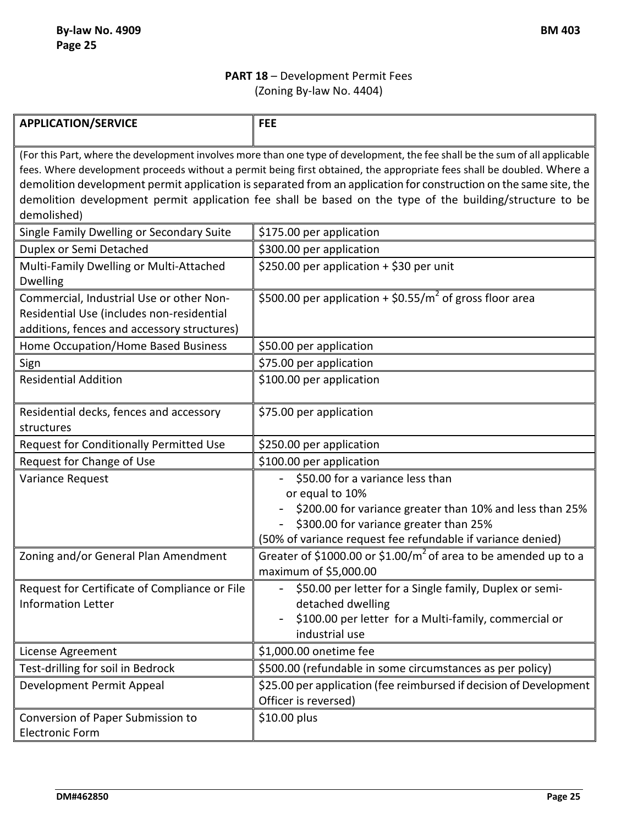### **PART 18** – Development Permit Fees (Zoning By-law No. 4404)

| <b>APPLICATION/SERVICE</b>                                                                                                                                                                                                                                                                                                                                                                                                                                                              | <b>FEE</b>                                                                                                                                                                                                               |  |
|-----------------------------------------------------------------------------------------------------------------------------------------------------------------------------------------------------------------------------------------------------------------------------------------------------------------------------------------------------------------------------------------------------------------------------------------------------------------------------------------|--------------------------------------------------------------------------------------------------------------------------------------------------------------------------------------------------------------------------|--|
| (For this Part, where the development involves more than one type of development, the fee shall be the sum of all applicable<br>fees. Where development proceeds without a permit being first obtained, the appropriate fees shall be doubled. Where a<br>demolition development permit application is separated from an application for construction on the same site, the<br>demolition development permit application fee shall be based on the type of the building/structure to be |                                                                                                                                                                                                                          |  |
| demolished)                                                                                                                                                                                                                                                                                                                                                                                                                                                                             |                                                                                                                                                                                                                          |  |
| Single Family Dwelling or Secondary Suite                                                                                                                                                                                                                                                                                                                                                                                                                                               | \$175.00 per application                                                                                                                                                                                                 |  |
| Duplex or Semi Detached                                                                                                                                                                                                                                                                                                                                                                                                                                                                 | \$300.00 per application                                                                                                                                                                                                 |  |
| Multi-Family Dwelling or Multi-Attached<br><b>Dwelling</b>                                                                                                                                                                                                                                                                                                                                                                                                                              | \$250.00 per application + \$30 per unit                                                                                                                                                                                 |  |
| Commercial, Industrial Use or other Non-<br>Residential Use (includes non-residential<br>additions, fences and accessory structures)                                                                                                                                                                                                                                                                                                                                                    | \$500.00 per application + \$0.55/ $m^2$ of gross floor area                                                                                                                                                             |  |
| Home Occupation/Home Based Business                                                                                                                                                                                                                                                                                                                                                                                                                                                     | \$50.00 per application                                                                                                                                                                                                  |  |
| Sign                                                                                                                                                                                                                                                                                                                                                                                                                                                                                    | \$75.00 per application                                                                                                                                                                                                  |  |
| <b>Residential Addition</b>                                                                                                                                                                                                                                                                                                                                                                                                                                                             | \$100.00 per application                                                                                                                                                                                                 |  |
| Residential decks, fences and accessory<br>structures                                                                                                                                                                                                                                                                                                                                                                                                                                   | \$75.00 per application                                                                                                                                                                                                  |  |
| Request for Conditionally Permitted Use                                                                                                                                                                                                                                                                                                                                                                                                                                                 | \$250.00 per application                                                                                                                                                                                                 |  |
| Request for Change of Use                                                                                                                                                                                                                                                                                                                                                                                                                                                               | \$100.00 per application                                                                                                                                                                                                 |  |
| Variance Request                                                                                                                                                                                                                                                                                                                                                                                                                                                                        | \$50.00 for a variance less than<br>or equal to 10%<br>\$200.00 for variance greater than 10% and less than 25%<br>\$300.00 for variance greater than 25%<br>(50% of variance request fee refundable if variance denied) |  |
| Zoning and/or General Plan Amendment                                                                                                                                                                                                                                                                                                                                                                                                                                                    | Greater of \$1000.00 or \$1.00/ $m^2$ of area to be amended up to a<br>maximum of \$5,000.00                                                                                                                             |  |
| Request for Certificate of Compliance or File<br><b>Information Letter</b>                                                                                                                                                                                                                                                                                                                                                                                                              | \$50.00 per letter for a Single family, Duplex or semi-<br>detached dwelling<br>\$100.00 per letter for a Multi-family, commercial or<br>industrial use                                                                  |  |
| License Agreement                                                                                                                                                                                                                                                                                                                                                                                                                                                                       | \$1,000.00 onetime fee                                                                                                                                                                                                   |  |
| Test-drilling for soil in Bedrock                                                                                                                                                                                                                                                                                                                                                                                                                                                       | \$500.00 (refundable in some circumstances as per policy)                                                                                                                                                                |  |
| Development Permit Appeal                                                                                                                                                                                                                                                                                                                                                                                                                                                               | \$25.00 per application (fee reimbursed if decision of Development<br>Officer is reversed)                                                                                                                               |  |
| Conversion of Paper Submission to<br><b>Electronic Form</b>                                                                                                                                                                                                                                                                                                                                                                                                                             | \$10.00 plus                                                                                                                                                                                                             |  |